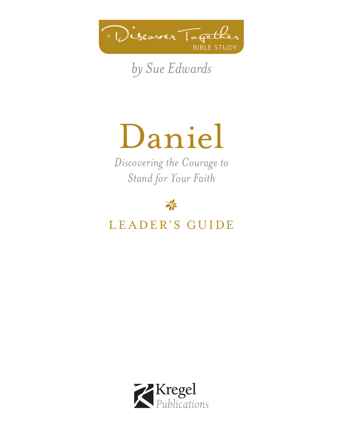

*by Sue Edwards*

# Daniel

*Discovering the Courage to Stand for Your Faith*

举

# LEADER'S GUIDE

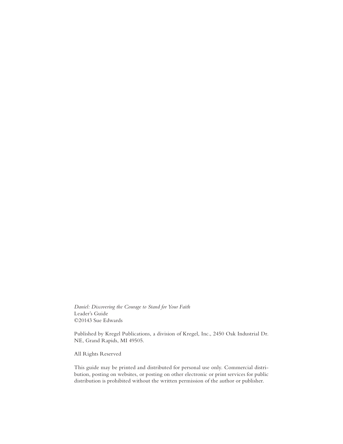*Daniel: Discovering the Courage to Stand for Your Faith* Leader's Guide ©20143 Sue Edwards

Published by Kregel Publications, a division of Kregel, Inc., 2450 Oak Industrial Dr. NE, Grand Rapids, MI 49505.

All Rights Reserved

This guide may be printed and distributed for personal use only. Commercial distribution, posting on websites, or posting on other electronic or print services for public distribution is prohibited without the written permission of the author or publisher.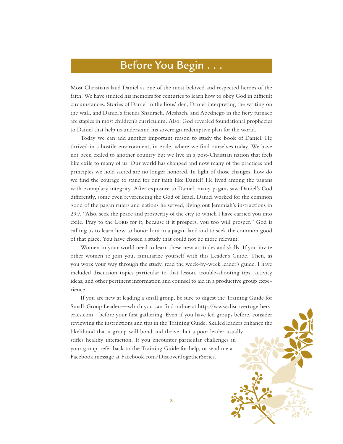### Before You Begin . . .

Most Christians laud Daniel as one of the most beloved and respected heroes of the faith. We have studied his memoirs for centuries to learn how to obey God in difficult circumstances. Stories of Daniel in the lions' den, Daniel interpreting the writing on the wall, and Daniel's friends Shadrach, Meshach, and Abednego in the fiery furnace are staples in most children's curriculum. Also, God revealed foundational prophecies to Daniel that help us understand his sovereign redemptive plan for the world.

Today we can add another important reason to study the book of Daniel. He thrived in a hostile environment, in exile, where we find ourselves today. We have not been exiled to another country but we live in a post-Christian nation that feels like exile to many of us. Our world has changed and now many of the practices and principles we hold sacred are no longer honored. In light of those changes, how do we find the courage to stand for our faith like Daniel? He lived among the pagans with exemplary integrity. After exposure to Daniel, many pagans saw Daniel's God differently, some even reverencing the God of Israel. Daniel worked for the common good of the pagan rulers and nations he served, living out Jeremiah's instructions in 29:7, "Also, seek the peace and prosperity of the city to which I have carried you into exile. Pray to the LORD for it, because if it prospers, you too will prosper." God is calling us to learn how to honor him in a pagan land and to seek the common good of that place. You have chosen a study that could not be more relevant!

Women in your world need to learn these new attitudes and skills. If you invite other women to join you, familiarize yourself with this Leader's Guide. Then, as you work your way through the study, read the week-by-week leader's guide. I have included discussion topics particular to that lesson, trouble-shooting tips, activity ideas, and other pertinent information and counsel to aid in a productive group experience.

If you are new at leading a small group, be sure to digest the Training Guide for Small-Group Leaders—which you can find online at http://www.discovertogetherseries.com—before your first gathering. Even if you have led groups before, consider reviewing the instructions and tips in the Training Guide. Skilled leaders enhance the likelihood that a group will bond and thrive, but a poor leader usually stifles healthy interaction. If you encounter particular challenges in your group, refer back to the Training Guide for help, or send me a Facebook message at Facebook.com/DiscoverTogetherSeries.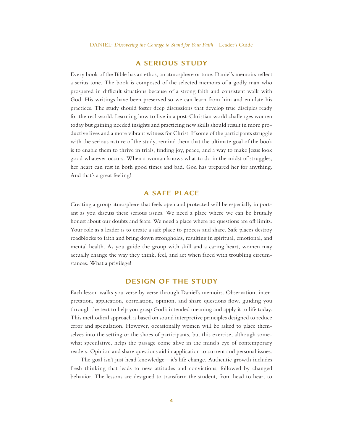#### **A SERIOUS STUDY**

Every book of the Bible has an ethos, an atmosphere or tone. Daniel's memoirs reflect a serius tone. The book is composed of the selected memoirs of a godly man who prospered in difficult situations because of a strong faith and consistent walk with God. His writings have been preserved so we can learn from him and emulate his practices. The study should foster deep discussions that develop true disciples ready for the real world. Learning how to live in a post-Christian world challenges women today but gaining needed insights and practicing new skills should result in more productive lives and a more vibrant witness for Christ. If some of the participants struggle with the serious nature of the study, remind them that the ultimate goal of the book is to enable them to thrive in trials, finding joy, peace, and a way to make Jesus look good whatever occurs. When a woman knows what to do in the midst of struggles, her heart can rest in both good times and bad. God has prepared her for anything. And that's a great feeling!

### **A SAFE PLACE**

Creating a group atmosphere that feels open and protected will be especially important as you discuss these serious issues. We need a place where we can be brutally honest about our doubts and fears. We need a place where no questions are off limits. Your role as a leader is to create a safe place to process and share. Safe places destroy roadblocks to faith and bring down strongholds, resulting in spiritual, emotional, and mental health. As you guide the group with skill and a caring heart, women may actually change the way they think, feel, and act when faced with troubling circumstances. What a privilege!

### **DESIGN OF THE STUDY**

Each lesson walks you verse by verse through Daniel's memoirs. Observation, interpretation, application, correlation, opinion, and share questions flow, guiding you through the text to help you grasp God's intended meaning and apply it to life today. This methodical approach is based on sound interpretive principles designed to reduce error and speculation. However, occasionally women will be asked to place themselves into the setting or the shoes of participants, but this exercise, although somewhat speculative, helps the passage come alive in the mind's eye of contemporary readers. Opinion and share questions aid in application to current and personal issues.

The goal isn't just head knowledge—it's life change. Authentic growth includes fresh thinking that leads to new attitudes and convictions, followed by changed behavior. The lessons are designed to transform the student, from head to heart to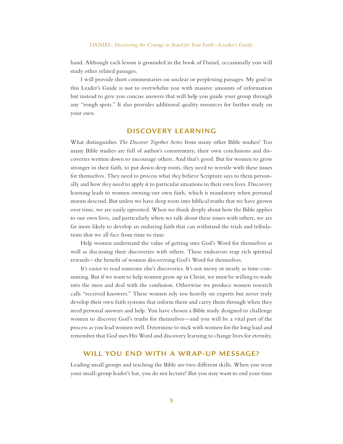hand. Although each lesson is grounded in the book of Daniel, occasionally you will study other related passages.

I will provide short commentaries on unclear or perplexing passages. My goal in this Leader's Guide is not to overwhelm you with massive amounts of information but instead to give you concise answers that will help you guide your group through any "rough spots." It also provides additional quality resources for further study on your own.

### **DISCOVERY LEARNING**

What distinguishes *The Discover Together Series* from many other Bible studies? Too many Bible studies are full of author's commentary, their own conclusions and discoveries written down to encourage others. And that's good. But for women to grow stronger in their faith, to put down deep roots, they need to wrestle with these issues for themselves. They need to process what *they* believe Scripture says to them personally and how *they* need to apply it to particular situations in their own lives. Discovery learning leads to women owning our own faith, which is mandatory when personal storms descend. But unless we have deep roots into biblical truths that we have grown over time, we are easily uprooted. When we think deeply about how the Bible applies to our own lives, and particularly when we talk about these issues with others, we are far more likely to develop an enduring faith that can withstand the trials and tribulations that we all face from time to time.

Help women understand the value of getting into God's Word for themselves as well as discussing their discoveries with others. These endeavors reap rich spiritual rewards—the benefit of women discovering God's Word for themselves.

It's easier to read someone else's discoveries. It's not messy or nearly as time-consuming. But if we want to help women grow up in Christ, we must be willing to wade into the mess and deal with the confusion. Otherwise we produce women research calls "received knowers." These women rely too heavily on experts but never truly develop their own faith systems that inform them and carry them through when they need personal answers and help. You have chosen a Bible study designed to challenge women to discover God's truths for themselves—and you will be a vital part of the process as you lead women well. Determine to stick with women for the long haul and remember that God uses His Word and discovery learning to change lives for eternity.

#### **WILL YOU END WITH A WRAP-UP MESSAGE?**

Leading small groups and teaching the Bible are two different skills. When you wear your small-group leader's hat, you do not lecture! But you may want to end your time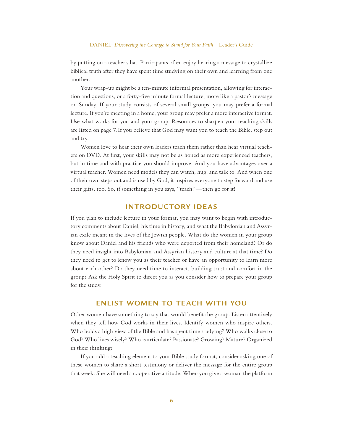#### DANIEL: *Discovering the Courage to Stand for Your Faith*—Leader's Guide

by putting on a teacher's hat. Participants often enjoy hearing a message to crystallize biblical truth after they have spent time studying on their own and learning from one another.

Your wrap-up might be a ten-minute informal presentation, allowing for interaction and questions, or a forty-five minute formal lecture, more like a pastor's message on Sunday. If your study consists of several small groups, you may prefer a formal lecture. If you're meeting in a home, your group may prefer a more interactive format. Use what works for you and your group. Resources to sharpen your teaching skills are listed on page 7. If you believe that God may want you to teach the Bible, step out and try.

Women love to hear their own leaders teach them rather than hear virtual teachers on DVD. At first, your skills may not be as honed as more experienced teachers, but in time and with practice you should improve. And you have advantages over a virtual teacher. Women need models they can watch, hug, and talk to. And when one of their own steps out and is used by God, it inspires everyone to step forward and use their gifts, too. So, if something in you says, "teach!"—then go for it!

### **INTRODUCTORY IDEAS**

If you plan to include lecture in your format, you may want to begin with introductory comments about Daniel, his time in history, and what the Babylonian and Assyrian exile meant in the lives of the Jewish people. What do the women in your group know about Daniel and his friends who were deported from their homeland? Or do they need insight into Babylonian and Assyrian history and culture at that time? Do they need to get to know you as their teacher or have an opportunity to learn more about each other? Do they need time to interact, building trust and comfort in the group? Ask the Holy Spirit to direct you as you consider how to prepare your group for the study.

### **ENLIST WOMEN TO TEACH WITH YOU**

Other women have something to say that would benefit the group. Listen attentively when they tell how God works in their lives. Identify women who inspire others. Who holds a high view of the Bible and has spent time studying? Who walks close to God? Who lives wisely? Who is articulate? Passionate? Growing? Mature? Organized in their thinking?

If you add a teaching element to your Bible study format, consider asking one of these women to share a short testimony or deliver the message for the entire group that week. She will need a cooperative attitude. When you give a woman the platform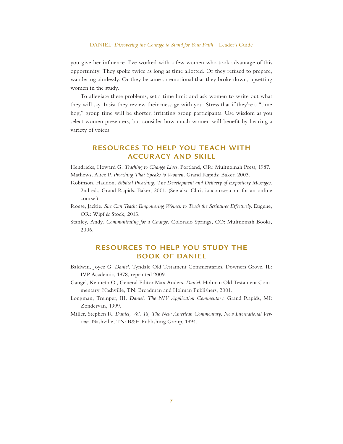#### DANIEL: *Discovering the Courage to Stand for Your Faith*—Leader's Guide

you give her influence. I've worked with a few women who took advantage of this opportunity. They spoke twice as long as time allotted. Or they refused to prepare, wandering aimlessly. Or they became so emotional that they broke down, upsetting women in the study.

To alleviate these problems, set a time limit and ask women to write out what they will say. Insist they review their message with you. Stress that if they're a "time hog," group time will be shorter, irritating group participants. Use wisdom as you select women presenters, but consider how much women will benefit by hearing a variety of voices.

### **RESOURCES TO HELP YOU TEACH WITH ACCURACY AND SKILL**

Hendricks, Howard G. *Teaching to Change Lives*, Portland, OR: Multnomah Press, 1987. Mathews, Alice P. *Preaching That Speaks to Women*. Grand Rapids: Baker, 2003.

- Robinson, Haddon. *Biblical Preaching: The Development and Delivery of Expository Messages*. 2nd ed., Grand Rapids: Baker, 2001. (See also Christiancourses.com for an online course.)
- Roese, Jackie. *She Can Teach: Empowering Women to Teach the Scriptures Effectively*. Eugene, OR: Wipf & Stock, 2013.
- Stanley, Andy. *Communicating for a Change*. Colorado Springs, CO: Multnomah Books, 2006.

### **RESOURCES TO HELP YOU STUDY THE BOOK OF DANIEL**

- Baldwin, Joyce G. *Daniel*. Tyndale Old Testament Commentaries. Downers Grove, IL: IVP Academic, 1978, reprinted 2009.
- Gangel, Kenneth O., General Editor Max Anders. *Daniel*. Holman Old Testament Commentary. Nashville, TN: Broadman and Holman Publishers, 2001.
- Longman, Tremper, III. *Daniel, The NIV Application Commentary*. Grand Rapids, MI: Zondervan, 1999.
- Miller, Stephen R. *Daniel, Vol. 18, The New American Commentary, New International Version*. Nashville, TN: B&H Publishing Group, 1994.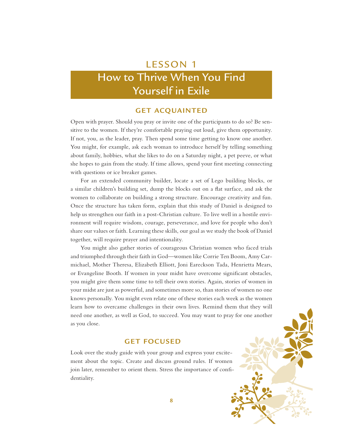# How to Thrive When You Find Yourself in Exile

### **GET ACQUAINTED**

Open with prayer. Should you pray or invite one of the participants to do so? Be sensitive to the women. If they're comfortable praying out loud, give them opportunity. If not, you, as the leader, pray. Then spend some time getting to know one another. You might, for example, ask each woman to introduce herself by telling something about family, hobbies, what she likes to do on a Saturday night, a pet peeve, or what she hopes to gain from the study. If time allows, spend your first meeting connecting with questions or ice breaker games.

For an extended community builder, locate a set of Lego building blocks, or a similar children's building set, dump the blocks out on a flat surface, and ask the women to collaborate on building a strong structure. Encourage creativity and fun. Once the structure has taken form, explain that this study of Daniel is designed to help us strengthen our faith in a post-Christian culture. To live well in a hostile environment will require wisdom, courage, perseverance, and love for people who don't share our values or faith. Learning these skills, our goal as we study the book of Daniel together, will require prayer and intentionality.

You might also gather stories of courageous Christian women who faced trials and triumphed through their faith in God—women like Corrie Ten Boom, Amy Carmichael, Mother Theresa, Elizabeth Elliott, Joni Eareckson Tada, Henrietta Mears, or Evangeline Booth. If women in your midst have overcome significant obstacles, you might give them some time to tell their own stories. Again, stories of women in your midst are just as powerful, and sometimes more so, than stories of women no one knows personally. You might even relate one of these stories each week as the women learn how to overcame challenges in their own lives. Remind them that they will need one another, as well as God, to succeed. You may want to pray for one another as you close.

### **GET FOCUSED**

Look over the study guide with your group and express your excitement about the topic. Create and discuss ground rules. If women join later, remember to orient them. Stress the importance of confidentiality.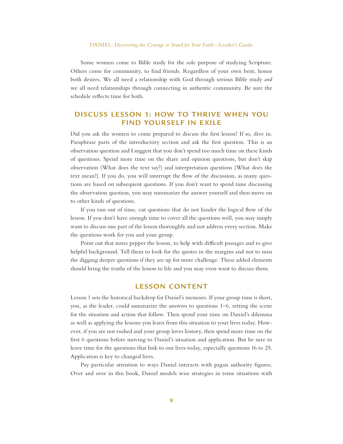#### DANIEL: *Discovering the Courage to Stand for Your Faith*—Leader's Guide

Some women come to Bible study for the sole purpose of studying Scripture. Others come for community, to find friends. Regardless of your own bent, honor both desires. We all need a relationship with God through serious Bible study *and* we all need relationships through connecting in authentic community. Be sure the schedule reflects time for both.

### **DISCUSS LESSON 1: HOW TO THRIVE WHEN YOU FIND YOURSELF IN EXILE**

Did you ask the women to come prepared to discuss the first lesson? If so, dive in. Paraphrase parts of the introductory section and ask the first question. This is an observation question and I suggest that you don't spend too much time on these kinds of questions. Spend more time on the share and opinion questions, but don't skip observation (What does the text say?) and interpretation questions (What does the text mean?). If you do, you will interrupt the flow of the discussion, as many questions are based on subsequent questions. If you don't want to spend time discussing the observation question, you may summarize the answer yourself and then move on to other kinds of questions.

If you run out of time, cut questions that do not hinder the logical flow of the lesson. If you don't have enough time to cover all the questions well, you may simply want to discuss one part of the lesson thoroughly and not address every section. Make the questions work for you and your group.

Point out that notes pepper the lesson, to help with difficult passages and to give helpful background. Tell them to look for the quotes in the margins and not to miss the digging deeper questions if they are up for more challenge. These added elements should bring the truths of the lesson to life and you may even want to discuss them.

### **LESSON CONTENT**

Lesson 1 sets the historical backdrop for Daniel's memoirs. If your group time is short, you, as the leader, could summarize the answers to questions 1–6, setting the scene for the situation and action that follow. Then spend your time on Daniel's dilemma as well as applying the lessons you learn from this situation to your lives today. However, if you are not rushed and your group loves history, then spend more time on the first 6 questions before moving to Daniel's situation and application. But be sure to leave time for the questions that link to our lives today, especially questions 16 to 25. Application is key to changed lives.

Pay particular attention to ways Daniel interacts with pagan authority figures. Over and over in this book, Daniel models wise strategies in tense situations with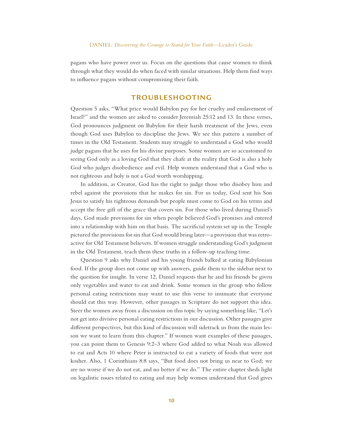pagans who have power over us. Focus on the questions that cause women to think through what they would do when faced with similar situations. Help them find ways to influence pagans without compromising their faith.

### **TROUBLESHOOTING**

Question 5 asks, "What price would Babylon pay for her cruelty and enslavement of Israel?" and the women are asked to consider Jeremiah 25:12 and 13. In these verses, God pronounces judgment on Babylon for their harsh treatment of the Jews, even though God uses Babylon to discipline the Jews. We see this pattern a number of times in the Old Testament. Students may struggle to understand a God who would judge pagans that he uses for his divine purposes. Some women are so accustomed to seeing God only as a loving God that they chafe at the reality that God is also a holy God who judges disobedience and evil. Help women understand that a God who is not righteous and holy is not a God worth worshipping.

In addition, as Creator, God has the right to judge those who disobey him and rebel against the provisions that he makes for sin. For us today, God sent his Son Jesus to satisfy his righteous demands but people must come to God on his terms and accept the free gift of the grace that covers sin. For those who lived during Daniel's days, God made provisions for sin when people believed God's promises and entered into a relationship with him on that basis. The sacrificial system set up in the Temple pictured the provisions for sin that God would bring later—a provision that was retroactive for Old Testament believers. If women struggle understanding God's judgment in the Old Testament, teach them these truths in a follow-up teaching time.

Question 9 asks why Daniel and his young friends balked at eating Babylonian food. If the group does not come up with answers, guide them to the sidebar next to the question for insight. In verse 12, Daniel requests that he and his friends be given only vegetables and water to eat and drink. Some women in the group who follow personal eating restrictions may want to use this verse to insinuate that everyone should eat this way. However, other passages in Scripture do not support this idea. Steer the women away from a discussion on this topic by saying something like, "Let's not get into divisive personal eating restrictions in our discussion. Other passages give different perspectives, but this kind of discussion will sidetrack us from the main lesson we want to learn from this chapter." If women want examples of these passages, you can point them to Genesis 9:2–3 where God added to what Noah was allowed to eat and Acts 10 where Peter is instructed to eat a variety of foods that were not kosher. Also, 1 Corinthians 8:8 says, "But food does not bring us near to God; we are no worse if we do not eat, and no better if we do." The entire chapter sheds light on legalistic issues related to eating and may help women understand that God gives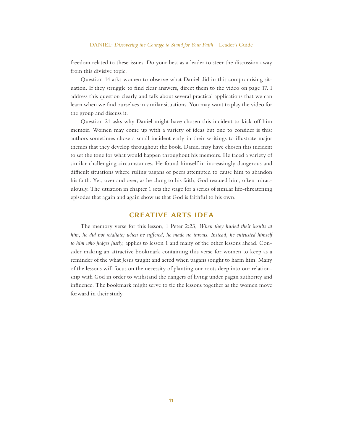freedom related to these issues. Do your best as a leader to steer the discussion away from this divisive topic.

Question 14 asks women to observe what Daniel did in this compromising situation. If they struggle to find clear answers, direct them to the video on page 17. I address this question clearly and talk about several practical applications that we can learn when we find ourselves in similar situations. You may want to play the video for the group and discuss it.

Question 21 asks why Daniel might have chosen this incident to kick off him memoir. Women may come up with a variety of ideas but one to consider is this: authors sometimes chose a small incident early in their writings to illustrate major themes that they develop throughout the book. Daniel may have chosen this incident to set the tone for what would happen throughout his memoirs. He faced a variety of similar challenging circumstances. He found himself in increasingly dangerous and difficult situations where ruling pagans or peers attempted to cause him to abandon his faith. Yet, over and over, as he clung to his faith, God rescued him, often miraculously. The situation in chapter 1 sets the stage for a series of similar life-threatening episodes that again and again show us that God is faithful to his own.

#### **CREATIVE ARTS IDEA**

The memory verse for this lesson, 1 Peter 2:23, *When they hurled their insults at him, he did not retaliate; when he suffered, he made no threats. Instead, he entrusted himself to him who judges justly*, applies to lesson 1 and many of the other lessons ahead. Consider making an attractive bookmark containing this verse for women to keep as a reminder of the what Jesus taught and acted when pagans sought to harm him. Many of the lessons will focus on the necessity of planting our roots deep into our relationship with God in order to withstand the dangers of living under pagan authority and influence. The bookmark might serve to tie the lessons together as the women move forward in their study.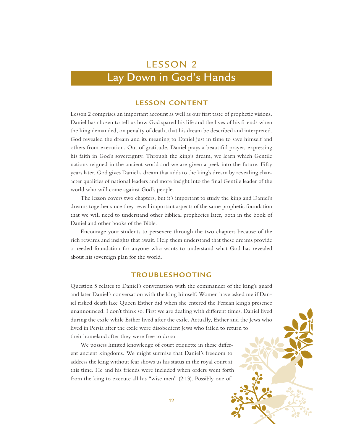### Lay Down in God's Hands

### **LESSON CONTENT**

Lesson 2 comprises an important account as well as our first taste of prophetic visions. Daniel has chosen to tell us how God spared his life and the lives of his friends when the king demanded, on penalty of death, that his dream be described and interpreted. God revealed the dream and its meaning to Daniel just in time to save himself and others from execution. Out of gratitude, Daniel prays a beautiful prayer, expressing his faith in God's sovereignty. Through the king's dream, we learn which Gentile nations reigned in the ancient world and we are given a peek into the future. Fifty years later, God gives Daniel a dream that adds to the king's dream by revealing character qualities of national leaders and more insight into the final Gentile leader of the world who will come against God's people.

The lesson covers two chapters, but it's important to study the king and Daniel's dreams together since they reveal important aspects of the same prophetic foundation that we will need to understand other biblical prophecies later, both in the book of Daniel and other books of the Bible.

Encourage your students to persevere through the two chapters because of the rich rewards and insights that await. Help them understand that these dreams provide a needed foundation for anyone who wants to understand what God has revealed about his sovereign plan for the world.

### **TROUBLESHOOTING**

Question 5 relates to Daniel's conversation with the commander of the king's guard and later Daniel's conversation with the king himself. Women have asked me if Daniel risked death like Queen Esther did when she entered the Persian king's presence unannounced. I don't think so. First we are dealing with different times. Daniel lived during the exile while Esther lived after the exile. Actually, Esther and the Jews who lived in Persia after the exile were disobedient Jews who failed to return to their homeland after they were free to do so.

We possess limited knowledge of court etiquette in these different ancient kingdoms. We might surmise that Daniel's freedom to address the king without fear shows us his status in the royal court at this time. He and his friends were included when orders went forth from the king to execute all his "wise men" (2:13). Possibly one of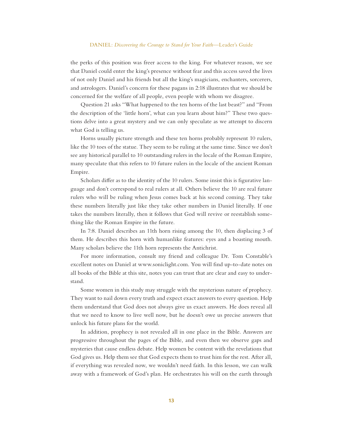#### DANIEL: *Discovering the Courage to Stand for Your Faith*—Leader's Guide

the perks of this position was freer access to the king. For whatever reason, we see that Daniel could enter the king's presence without fear and this access saved the lives of not only Daniel and his friends but all the king's magicians, enchanters, sorcerers, and astrologers. Daniel's concern for these pagans in 2:18 illustrates that we should be concerned for the welfare of all people, even people with whom we disagree.

Question 21 asks "What happened to the ten horns of the last beast?" and "From the description of the 'little horn', what can you learn about him?" These two questions delve into a great mystery and we can only speculate as we attempt to discern what God is telling us.

Horns usually picture strength and these ten horns probably represent 10 rulers, like the 10 toes of the statue. They seem to be ruling at the same time. Since we don't see any historical parallel to 10 outstanding rulers in the locale of the Roman Empire, many speculate that this refers to 10 future rulers in the locale of the ancient Roman Empire.

Scholars differ as to the identity of the 10 rulers. Some insist this is figurative language and don't correspond to real rulers at all. Others believe the 10 are real future rulers who will be ruling when Jesus comes back at his second coming. They take these numbers literally just like they take other numbers in Daniel literally. If one takes the numbers literally, then it follows that God will revive or reestablish something like the Roman Empire in the future.

In 7:8. Daniel describes an 11th horn rising among the 10, then displacing 3 of them. He describes this horn with humanlike features: eyes and a boasting mouth. Many scholars believe the 11th horn represents the Antichrist.

For more information, consult my friend and colleague Dr. Tom Constable's excellent notes on Daniel at www.soniclight.com. You will find up-to-date notes on all books of the Bible at this site, notes you can trust that are clear and easy to understand.

Some women in this study may struggle with the mysterious nature of prophecy. They want to nail down every truth and expect exact answers to every question. Help them understand that God does not always give us exact answers. He does reveal all that we need to know to live well now, but he doesn't owe us precise answers that unlock his future plans for the world.

In addition, prophecy is not revealed all in one place in the Bible. Answers are progressive throughout the pages of the Bible, and even then we observe gaps and mysteries that cause endless debate. Help women be content with the revelations that God gives us. Help them see that God expects them to trust him for the rest. After all, if everything was revealed now, we wouldn't need faith. In this lesson, we can walk away with a framework of God's plan. He orchestrates his will on the earth through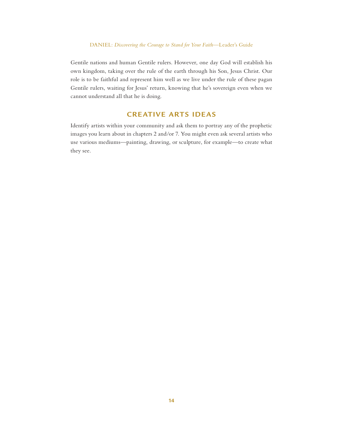Gentile nations and human Gentile rulers. However, one day God will establish his own kingdom, taking over the rule of the earth through his Son, Jesus Christ. Our role is to be faithful and represent him well as we live under the rule of these pagan Gentile rulers, waiting for Jesus' return, knowing that he's sovereign even when we cannot understand all that he is doing.

### **CREATIVE ARTS IDEAS**

Identify artists within your community and ask them to portray any of the prophetic images you learn about in chapters 2 and/or 7. You might even ask several artists who use various mediums—painting, drawing, or sculpture, for example—to create what they see.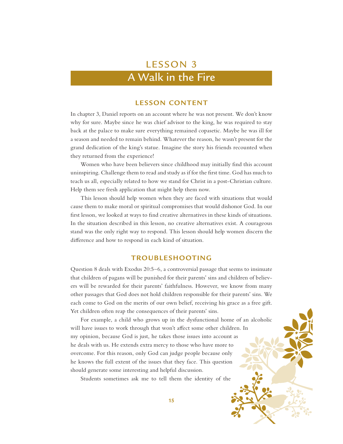# A Walk in the Fire

### **LESSON CONTENT**

In chapter 3, Daniel reports on an account where he was not present. We don't know why for sure. Maybe since he was chief advisor to the king, he was required to stay back at the palace to make sure everything remained copasetic. Maybe he was ill for a season and needed to remain behind. Whatever the reason, he wasn't present for the grand dedication of the king's statue. Imagine the story his friends recounted when they returned from the experience!

Women who have been believers since childhood may initially find this account uninspiring. Challenge them to read and study as if for the first time. God has much to teach us all, especially related to how we stand for Christ in a post-Christian culture. Help them see fresh application that might help them now.

This lesson should help women when they are faced with situations that would cause them to make moral or spiritual compromises that would dishonor God. In our first lesson, we looked at ways to find creative alternatives in these kinds of situations. In the situation described in this lesson, no creative alternatives exist. A courageous stand was the only right way to respond. This lesson should help women discern the difference and how to respond in each kind of situation.

### **TROUBLESHOOTING**

Question 8 deals with Exodus 20:5–6, a controversial passage that seems to insinuate that children of pagans will be punished for their parents' sins and children of believers will be rewarded for their parents' faithfulness. However, we know from many other passages that God does not hold children responsible for their parents' sins. We each come to God on the merits of our own belief, receiving his grace as a free gift. Yet children often reap the consequences of their parents' sins.

For example, a child who grows up in the dysfunctional home of an alcoholic will have issues to work through that won't affect some other children. In my opinion, because God is just, he takes those issues into account as he deals with us. He extends extra mercy to those who have more to overcome. For this reason, only God can judge people because only he knows the full extent of the issues that they face. This question should generate some interesting and helpful discussion.

Students sometimes ask me to tell them the identity of the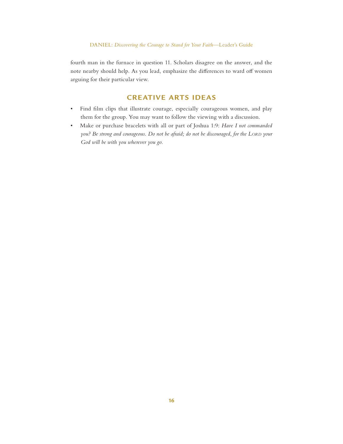fourth man in the furnace in question 11. Scholars disagree on the answer, and the note nearby should help. As you lead, emphasize the differences to ward off women arguing for their particular view.

### **CREATIVE ARTS IDEAS**

- Find film clips that illustrate courage, especially courageous women, and play them for the group. You may want to follow the viewing with a discussion.
- Make or purchase bracelets with all or part of Joshua 1:9: *Have I not commanded you?* Be strong and courageous. Do not be afraid; do not be discouraged, for the LORD your *God will be with you wherever you go.*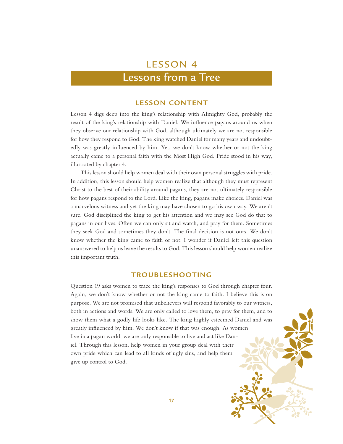### Lessons from a Tree

### **LESSON CONTENT**

Lesson 4 digs deep into the king's relationship with Almighty God, probably the result of the king's relationship with Daniel. We influence pagans around us when they observe our relationship with God, although ultimately we are not responsible for how they respond to God. The king watched Daniel for many years and undoubtedly was greatly influenced by him. Yet, we don't know whether or not the king actually came to a personal faith with the Most High God. Pride stood in his way, illustrated by chapter 4.

This lesson should help women deal with their own personal struggles with pride. In addition, this lesson should help women realize that although they must represent Christ to the best of their ability around pagans, they are not ultimately responsible for how pagans respond to the Lord. Like the king, pagans make choices. Daniel was a marvelous witness and yet the king may have chosen to go his own way. We aren't sure. God disciplined the king to get his attention and we may see God do that to pagans in our lives. Often we can only sit and watch, and pray for them. Sometimes they seek God and sometimes they don't. The final decision is not ours. We don't know whether the king came to faith or not. I wonder if Daniel left this question unanswered to help us leave the results to God. This lesson should help women realize this important truth.

### **TROUBLESHOOTING**

Question 19 asks women to trace the king's responses to God through chapter four. Again, we don't know whether or not the king came to faith. I believe this is on purpose. We are not promised that unbelievers will respond favorably to our witness, both in actions and words. We are only called to love them, to pray for them, and to show them what a godly life looks like. The king highly esteemed Daniel and was greatly influenced by him. We don't know if that was enough. As women live in a pagan world, we are only responsible to live and act like Daniel. Through this lesson, help women in your group deal with their own pride which can lead to all kinds of ugly sins, and help them give up control to God.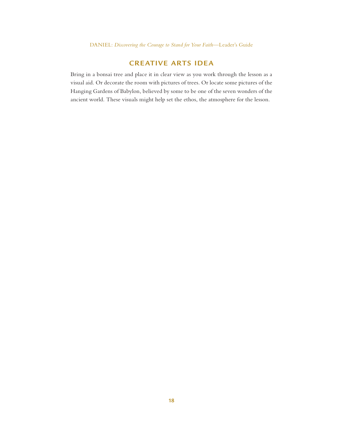### **CREATIVE ARTS IDEA**

Bring in a bonsai tree and place it in clear view as you work through the lesson as a visual aid. Or decorate the room with pictures of trees. Or locate some pictures of the Hanging Gardens of Babylon, believed by some to be one of the seven wonders of the ancient world. These visuals might help set the ethos, the atmosphere for the lesson.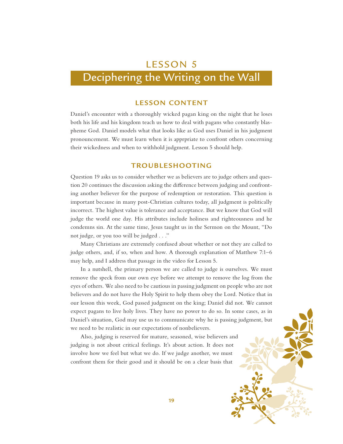# Deciphering the Writing on the Wall

### **LESSON CONTENT**

Daniel's encounter with a thoroughly wicked pagan king on the night that he loses both his life and his kingdom teach us how to deal with pagans who constantly blaspheme God. Daniel models what that looks like as God uses Daniel in his judgment pronouncement. We must learn when it is apprpriate to confront others concerning their wickedness and when to withhold judgment. Lesson 5 should help.

### **TROUBLESHOOTING**

Question 19 asks us to consider whether we as believers are to judge others and question 20 continues the discussion asking the difference between judging and confronting another believer for the purpose of redemption or restoration. This question is important because in many post-Christian cultures today, all judgment is politically incorrect. The highest value is tolerance and acceptance. But we know that God will judge the world one day. His attributes include holiness and righteousness and he condemns sin. At the same time, Jesus taught us in the Sermon on the Mount, "Do not judge, or you too will be judged . . ."

Many Christians are extremely confused about whether or not they are called to judge others, and, if so, when and how. A thorough explanation of Matthew 7:1–6 may help, and I address that passage in the video for Lesson 5.

In a nutshell, the primary person we are called to judge is ourselves. We must remove the speck from our own eye before we attempt to remove the log from the eyes of others. We also need to be cautious in passing judgment on people who are not believers and do not have the Holy Spirit to help them obey the Lord. Notice that in our lesson this week, God passed judgment on the king; Daniel did not. We cannot expect pagans to live holy lives. They have no power to do so. In some cases, as in Daniel's situation, God may use us to communicate why he is passing judgment, but we need to be realistic in our expectations of nonbelievers.

Also, judging is reserved for mature, seasoned, wise believers and judging is not about critical feelings. It's about action. It does not involve how we feel but what we do. If we judge another, we must confront them for their good and it should be on a clear basis that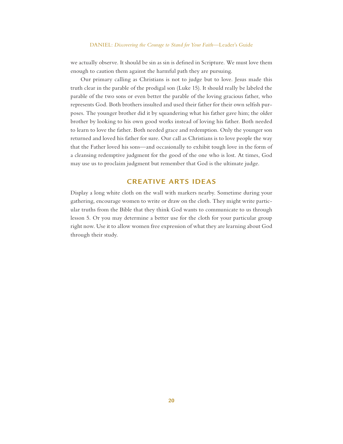we actually observe. It should be sin as sin is defined in Scripture. We must love them enough to caution them against the harmful path they are pursuing.

Our primary calling as Christians is not to judge but to love. Jesus made this truth clear in the parable of the prodigal son (Luke 15). It should really be labeled the parable of the two sons or even better the parable of the loving gracious father, who represents God. Both brothers insulted and used their father for their own selfish purposes. The younger brother did it by squandering what his father gave him; the older brother by looking to his own good works instead of loving his father. Both needed to learn to love the father. Both needed grace and redemption. Only the younger son returned and loved his father for sure. Our call as Christians is to love people the way that the Father loved his sons—and occasionally to exhibit tough love in the form of a cleansing redemptive judgment for the good of the one who is lost. At times, God may use us to proclaim judgment but remember that God is the ultimate judge.

### **CREATIVE ARTS IDEAS**

Display a long white cloth on the wall with markers nearby. Sometime during your gathering, encourage women to write or draw on the cloth. They might write particular truths from the Bible that they think God wants to communicate to us through lesson 5. Or you may determine a better use for the cloth for your particular group right now. Use it to allow women free expression of what they are learning about God through their study.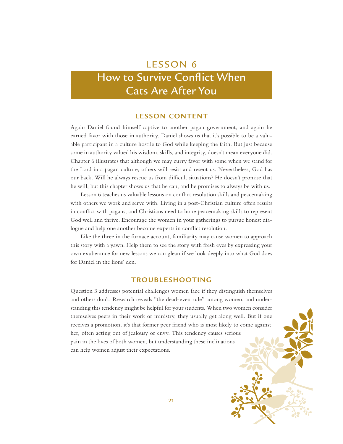## How to Survive Conflict When Cats Are After You

### **LESSON CONTENT**

Again Daniel found himself captive to another pagan government, and again he earned favor with those in authority. Daniel shows us that it's possible to be a valuable participant in a culture hostile to God while keeping the faith. But just because some in authority valued his wisdom, skills, and integrity, doesn't mean everyone did. Chapter 6 illustrates that although we may curry favor with some when we stand for the Lord in a pagan culture, others will resist and resent us. Nevertheless, God has our back. Will he always rescue us from difficult situations? He doesn't promise that he will, but this chapter shows us that he can, and he promises to always be with us.

Lesson 6 teaches us valuable lessons on conflict resolution skills and peacemaking with others we work and serve with. Living in a post-Christian culture often results in conflict with pagans, and Christians need to hone peacemaking skills to represent God well and thrive. Encourage the women in your gatherings to pursue honest dialogue and help one another become experts in conflict resolution.

Like the three in the furnace account, familiarity may cause women to approach this story with a yawn. Help them to see the story with fresh eyes by expressing your own exuberance for new lessons we can glean if we look deeply into what God does for Daniel in the lions' den.

### **TROUBLESHOOTING**

Question 3 addresses potential challenges women face if they distinguish themselves and others don't. Research reveals "the dead-even rule" among women, and understanding this tendency might be helpful for your students. When two women consider themselves peers in their work or ministry, they usually get along well. But if one receives a promotion, it's that former peer friend who is most likely to come against her, often acting out of jealousy or envy. This tendency causes serious pain in the lives of both women, but understanding these inclinations can help women adjust their expectations.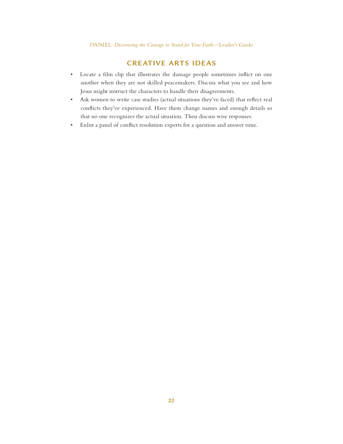### **CREATIVE ARTS IDEAS**

- Locate a film clip that illustrates the damage people sometimes inflict on one another when they are not skilled peacemakers. Discuss what you see and how Jesus might instruct the characters to handle their disagreements.
- Ask women to write case studies (actual situations they've faced) that reflect real conflicts they've experienced. Have them change names and enough details so that no one recognizes the actual situation. Then discuss wise responses.
- Enlist a panel of conflict resolution experts for a question and answer time.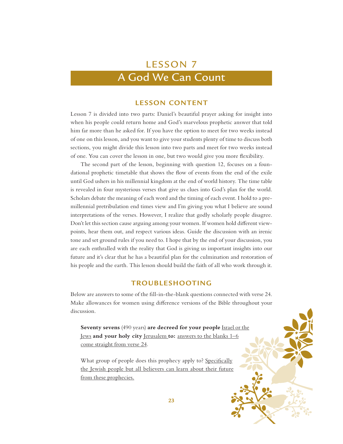### A God We Can Count

### **LESSON CONTENT**

Lesson 7 is divided into two parts: Daniel's beautiful prayer asking for insight into when his people could return home and God's marvelous prophetic answer that told him far more than he asked for. If you have the option to meet for two weeks instead of one on this lesson, and you want to give your students plenty of time to discuss both sections, you might divide this lesson into two parts and meet for two weeks instead of one. You can cover the lesson in one, but two would give you more flexibility.

The second part of the lesson, beginning with question 12, focuses on a foundational prophetic timetable that shows the flow of events from the end of the exile until God ushers in his millennial kingdom at the end of world history. The time table is revealed in four mysterious verses that give us clues into God's plan for the world. Scholars debate the meaning of each word and the timing of each event. I hold to a premillennial pretribulation end times view and I'm giving you what I believe are sound interpretations of the verses. However, I realize that godly scholarly people disagree. Don't let this section cause arguing among your women. If women hold different viewpoints, hear them out, and respect various ideas. Guide the discussion with an irenic tone and set ground rules if you need to. I hope that by the end of your discussion, you are each enthralled with the reality that God is giving us important insights into our future and it's clear that he has a beautiful plan for the culmination and restoration of his people and the earth. This lesson should build the faith of all who work through it.

### **TROUBLESHOOTING**

Below are answers to some of the fill-in-the-blank questions connected with verse 24. Make allowances for women using difference versions of the Bible throughout your discussion.

**Seventy sevens** (490 years) **are decreed for your people** Israel or the Jews **and your holy city** Jerusalem **to:** answers to the blanks 1–6 come straight from verse 24.

What group of people does this prophecy apply to? Specifically the Jewish people but all believers can learn about their future from these prophecies.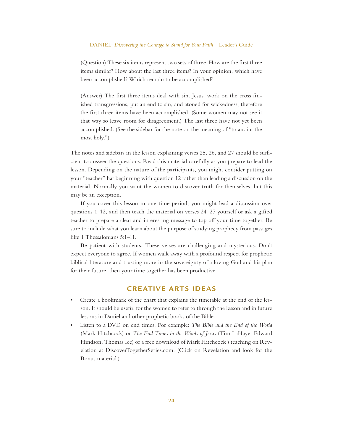(Question) These six items represent two sets of three. How are the first three items similar? How about the last three items? In your opinion, which have been accomplished? Which remain to be accomplished?

(Answer) The first three items deal with sin. Jesus' work on the cross finished transgressions, put an end to sin, and atoned for wickedness, therefore the first three items have been accomplished. (Some women may not see it that way so leave room for disagreement.) The last three have not yet been accomplished. (See the sidebar for the note on the meaning of "to anoint the most holy.")

The notes and sidebars in the lesson explaining verses 25, 26, and 27 should be sufficient to answer the questions. Read this material carefully as you prepare to lead the lesson. Depending on the nature of the participants, you might consider putting on your "teacher" hat beginning with question 12 rather than leading a discussion on the material. Normally you want the women to discover truth for themselves, but this may be an exception.

If you cover this lesson in one time period, you might lead a discussion over questions 1–12, and then teach the material on verses 24–27 yourself or ask a gifted teacher to prepare a clear and interesting message to top off your time together. Be sure to include what you learn about the purpose of studying prophecy from passages like 1 Thessalonians 5:1–11.

Be patient with students. These verses are challenging and mysterious. Don't expect everyone to agree. If women walk away with a profound respect for prophetic biblical literature and trusting more in the sovereignty of a loving God and his plan for their future, then your time together has been productive.

### **CREATIVE ARTS IDEAS**

- Create a bookmark of the chart that explains the timetable at the end of the lesson. It should be useful for the women to refer to through the lesson and in future lessons in Daniel and other prophetic books of the Bible.
- Listen to a DVD on end times. For example: *The Bible and the End of the World* (Mark Hitchcock) or *The End Times in the Words of Jesus* (Tim LaHaye, Edward Hindson, Thomas Ice) or a free download of Mark Hitchcock's teaching on Revelation at DiscoverTogetherSeries.com. (Click on Revelation and look for the Bonus material.)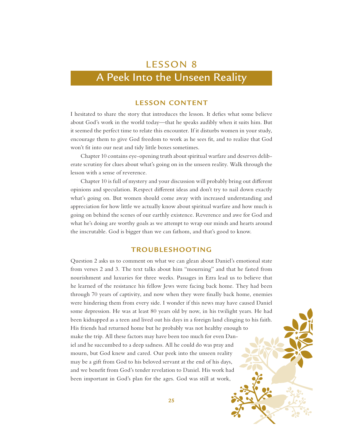# A Peek Into the Unseen Reality

### **LESSON CONTENT**

I hesitated to share the story that introduces the lesson. It defies what some believe about God's work in the world today—that he speaks audibly when it suits him. But it seemed the perfect time to relate this encounter. If it disturbs women in your study, encourage them to give God freedom to work as he sees fit, and to realize that God won't fit into our neat and tidy little boxes sometimes.

Chapter 10 contains eye-opening truth about spiritual warfare and deserves deliberate scrutiny for clues about what's going on in the unseen reality. Walk through the lesson with a sense of reverence.

Chapter 10 is full of mystery and your discussion will probably bring out different opinions and speculation. Respect different ideas and don't try to nail down exactly what's going on. But women should come away with increased understanding and appreciation for how little we actually know about spiritual warfare and how much is going on behind the scenes of our earthly existence. Reverence and awe for God and what he's doing are worthy goals as we attempt to wrap our minds and hearts around the inscrutable. God is bigger than we can fathom, and that's good to know.

### **TROUBLESHOOTING**

Question 2 asks us to comment on what we can glean about Daniel's emotional state from verses 2 and 3. The text talks about him "mourning" and that he fasted from nourishment and luxuries for three weeks. Passages in Ezra lead us to believe that he learned of the resistance his fellow Jews were facing back home. They had been through 70 years of captivity, and now when they were finally back home, enemies were hindering them from every side. I wonder if this news may have caused Daniel some depression. He was at least 80 years old by now, in his twilight years. He had been kidnapped as a teen and lived out his days in a foreign land clinging to his faith. His friends had returned home but he probably was not healthy enough to make the trip. All these factors may have been too much for even Daniel and he succumbed to a deep sadness. All he could do was pray and mourn, but God knew and cared. Our peek into the unseen reality may be a gift from God to his beloved servant at the end of his days, and we benefit from God's tender revelation to Daniel. His work had been important in God's plan for the ages. God was still at work,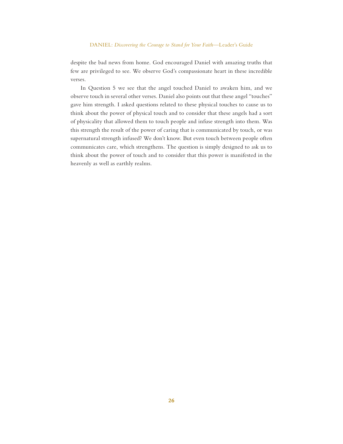#### DANIEL: *Discovering the Courage to Stand for Your Faith*—Leader's Guide

despite the bad news from home. God encouraged Daniel with amazing truths that few are privileged to see. We observe God's compassionate heart in these incredible verses.

In Question 5 we see that the angel touched Daniel to awaken him, and we observe touch in several other verses. Daniel also points out that these angel "touches" gave him strength. I asked questions related to these physical touches to cause us to think about the power of physical touch and to consider that these angels had a sort of physicality that allowed them to touch people and infuse strength into them. Was this strength the result of the power of caring that is communicated by touch, or was supernatural strength infused? We don't know. But even touch between people often communicates care, which strengthens. The question is simply designed to ask us to think about the power of touch and to consider that this power is manifested in the heavenly as well as earthly realms.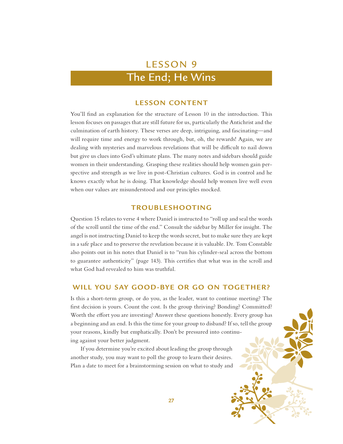### The End; He Wins

### **LESSON CONTENT**

You'll find an explanation for the structure of Lesson 10 in the introduction. This lesson focuses on passages that are still future for us, particularly the Antichrist and the culmination of earth history. These verses are deep, intriguing, and fascinating—and will require time and energy to work through, but, oh, the rewards! Again, we are dealing with mysteries and marvelous revelations that will be difficult to nail down but give us clues into God's ultimate plans. The many notes and sidebars should guide women in their understanding. Grasping these realities should help women gain perspective and strength as we live in post-Christian cultures. God is in control and he knows exactly what he is doing. That knowledge should help women live well even when our values are misunderstood and our principles mocked.

### **TROUBLESHOOTING**

Question 15 relates to verse 4 where Daniel is instructed to "roll up and seal the words of the scroll until the time of the end." Consult the sidebar by Miller for insight. The angel is not instructing Daniel to keep the words secret, but to make sure they are kept in a safe place and to preserve the revelation because it is valuable. Dr. Tom Constable also points out in his notes that Daniel is to "run his cylinder-seal across the bottom to guarantee authenticity" (page 143). This certifies that what was in the scroll and what God had revealed to him was truthful.

### **WILL YOU SAY GOOD-BYE OR GO ON TOGETHER?**

Is this a short-term group, or do you, as the leader, want to continue meeting? The first decision is yours. Count the cost. Is the group thriving? Bonding? Committed? Worth the effort you are investing? Answer these questions honestly. Every group has a beginning and an end. Is this the time for your group to disband? If so, tell the group your reasons, kindly but emphatically. Don't be pressured into continuing against your better judgment.

If you determine you're excited about leading the group through another study, you may want to poll the group to learn their desires. Plan a date to meet for a brainstorming session on what to study and